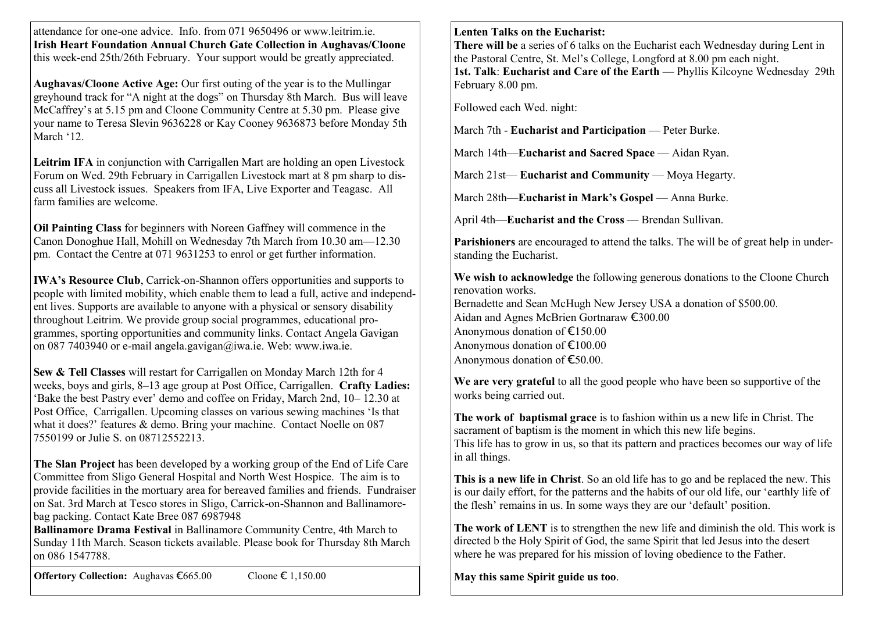attendance for one-one advice. Info. from 071 9650496 or www.leitrim.ie. **Irish Heart Foundation Annual Church Gate Collection in Aughavas/Cloone**  this week-end 25th/26th February. Your support would be greatly appreciated.

**Aughavas/Cloone Active Age:** Our first outing of the year is to the Mullingar greyhound track for "A night at the dogs" on Thursday 8th March. Bus will leave McCaffrey's at 5.15 pm and Cloone Community Centre at 5.30 pm. Please give your name to Teresa Slevin 9636228 or Kay Cooney 9636873 before Monday 5th March '12

**Leitrim IFA** in conjunction with Carrigallen Mart are holding an open Livestock Forum on Wed. 29th February in Carrigallen Livestock mart at 8 pm sharp to discuss all Livestock issues. Speakers from IFA, Live Exporter and Teagasc. All farm families are welcome.

**Oil Painting Class** for beginners with Noreen Gaffney will commence in the Canon Donoghue Hall, Mohill on Wednesday 7th March from 10.30 am—12.30 pm. Contact the Centre at 071 9631253 to enrol or get further information.

**IWA's Resource Club**, Carrick-on-Shannon offers opportunities and supports to people with limited mobility, which enable them to lead a full, active and independent lives. Supports are available to anyone with a physical or sensory disability throughout Leitrim. We provide group social programmes, educational programmes, sporting opportunities and community links. Contact Angela Gavigan on 087 7403940 or e-mail angela.gavigan@iwa.ie. Web: www.iwa.ie.

**Sew & Tell Classes** will restart for Carrigallen on Monday March 12th for 4 weeks, boys and girls, 8–13 age group at Post Office, Carrigallen. **Crafty Ladies:**  ‗Bake the best Pastry ever' demo and coffee on Friday, March 2nd, 10– 12.30 at Post Office, Carrigallen. Upcoming classes on various sewing machines 'Is that what it does?' features & demo. Bring your machine. Contact Noelle on 087 7550199 or Julie S. on 08712552213.

**The Slan Project** has been developed by a working group of the End of Life Care Committee from Sligo General Hospital and North West Hospice. The aim is to provide facilities in the mortuary area for bereaved families and friends. Fundraiser on Sat. 3rd March at Tesco stores in Sligo, Carrick-on-Shannon and Ballinamorebag packing. Contact Kate Bree 087 6987948

**Ballinamore Drama Festival** in Ballinamore Community Centre, 4th March to Sunday 11th March. Season tickets available. Please book for Thursday 8th March on 086 1547788.

**Offertory Collection:** Aughavas €665.00 Cloone € 1,150.00

## **Lenten Talks on the Eucharist:**

**There will be** a series of 6 talks on the Eucharist each Wednesday during Lent in the Pastoral Centre, St. Mel's College, Longford at 8.00 pm each night. **1st. Talk**: **Eucharist and Care of the Earth** — Phyllis Kilcoyne Wednesday 29th February 8.00 pm.

Followed each Wed. night:

March 7th - **Eucharist and Participation** — Peter Burke.

March 14th—**Eucharist and Sacred Space** — Aidan Ryan.

March 21st— **Eucharist and Community** — Mova Hegarty.

March 28th—**Eucharist in Mark's Gospel** — Anna Burke.

April 4th—**Eucharist and the Cross** — Brendan Sullivan.

**Parishioners** are encouraged to attend the talks. The will be of great help in understanding the Eucharist.

**We wish to acknowledge** the following generous donations to the Cloone Church renovation works. Bernadette and Sean McHugh New Jersey USA a donation of \$500.00. Aidan and Agnes McBrien Gortnaraw €300.00 Anonymous donation of €150.00 Anonymous donation of €100.00 Anonymous donation of €50.00.

**We are very grateful** to all the good people who have been so supportive of the works being carried out.

**The work of baptismal grace** is to fashion within us a new life in Christ. The sacrament of baptism is the moment in which this new life begins. This life has to grow in us, so that its pattern and practices becomes our way of life in all things.

**This is a new life in Christ**. So an old life has to go and be replaced the new. This is our daily effort, for the patterns and the habits of our old life, our 'earthly life of the flesh' remains in us. In some ways they are our 'default' position.

**The work of LENT** is to strengthen the new life and diminish the old. This work is directed b the Holy Spirit of God, the same Spirit that led Jesus into the desert where he was prepared for his mission of loving obedience to the Father.

**May this same Spirit guide us too**.